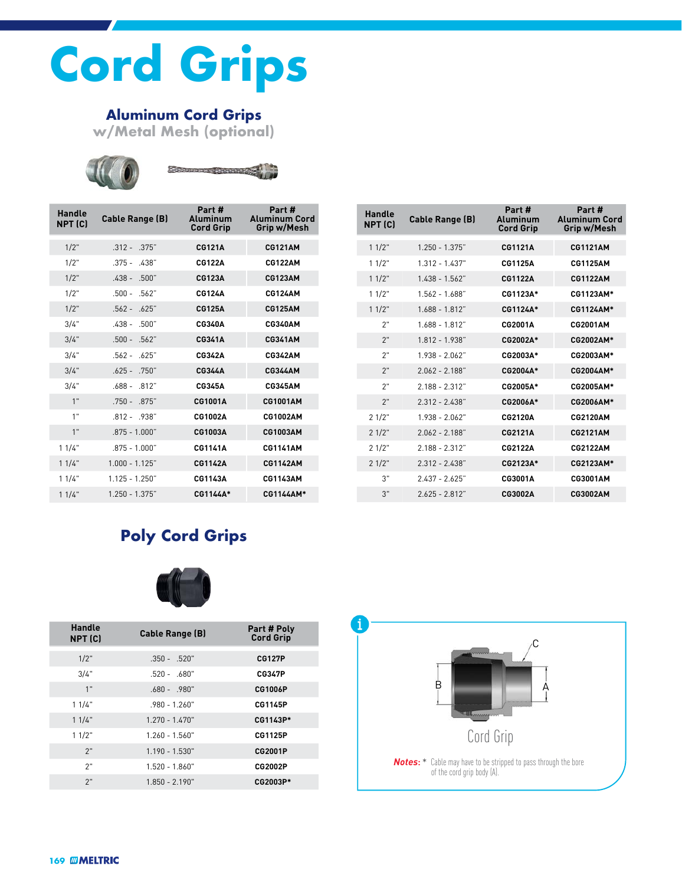# **Cord Grips**

## **Aluminum Cord Grips**

**w/Metal Mesh (optional)**





| Handle<br>NPT (C) | <b>Cable Range (B)</b> | Part#<br>Aluminum<br><b>Cord Grip</b> | Part#<br><b>Aluminum Cord</b><br>Grip w/Mesh |
|-------------------|------------------------|---------------------------------------|----------------------------------------------|
| 1/2"              | $.312 - .375$ "        | <b>CG121A</b>                         | <b>CG121AM</b>                               |
| 1/2"              | $.375 - .438"$         | <b>CG122A</b>                         | <b>CG122AM</b>                               |
| $1/2$ "           | $.438 - .500"$         | <b>CG123A</b>                         | <b>CG123AM</b>                               |
| 1/2"              | $.500 - .562"$         | <b>CG124A</b>                         | <b>CG124AM</b>                               |
| $1/2$ "           | $.562 - .625$ "        | CG125A                                | <b>CG125AM</b>                               |
| 3/4"              | $.438 - .500"$         | <b>CG340A</b>                         | <b>CG340AM</b>                               |
| 3/4"              | $.500 - .562"$         | CG341A                                | <b>CG341AM</b>                               |
| 3/4"              | $.562 - .625$ "        | CG342A                                | CG342AM                                      |
| 3/4"              | $.625 - .750"$         | <b>CG344A</b>                         | <b>CG344AM</b>                               |
| 3/4"              | $.688 - .812"$         | <b>CG345A</b>                         | CG345AM                                      |
| 1"                | $.750 - .875$ "        | <b>CG1001A</b>                        | <b>CG1001AM</b>                              |
| 1"                | $.812 - .938"$         | CG1002A                               | <b>CG1002AM</b>                              |
| 1"                | $.875 - 1.000$ "       | CG1003A                               | <b>CG1003AM</b>                              |
| 11/4"             | $.875 - 1.000$ "       | <b>CG1141A</b>                        | <b>CG1141AM</b>                              |
| 11/4"             | $1.000 - 1.125"$       | <b>CG1142A</b>                        | <b>CG1142AM</b>                              |
| 11/4"             | $1.125 - 1.250"$       | CG1143A                               | <b>CG1143AM</b>                              |
| 11/4"             | $1.250 - 1.375"$       | CG1144A*                              | CG1144AM*                                    |

| Handle<br><b>NPT (C)</b> | <b>Cable Range (B)</b> | Part #<br>Aluminum<br><b>Cord Grip</b> | Part #<br><b>Aluminum Cord</b><br>Grip w/Mesh |
|--------------------------|------------------------|----------------------------------------|-----------------------------------------------|
| 11/2"                    | $1.250 - 1.375$ "      | <b>CG1121A</b>                         | <b>CG1121AM</b>                               |
| 11/2"                    | $1.312 - 1.437"$       | CG1125A                                | CG1125AM                                      |
| 11/2"                    | $1.438 - 1.562$ "      | <b>CG1122A</b>                         | <b>CG1122AM</b>                               |
| 11/2"                    | $1.562 - 1.688$ "      | CG1123A*                               | CG1123AM*                                     |
| 11/2"                    | $1.688 - 1.812$ "      | CG1124A*                               | CG1124AM*                                     |
| 2"                       | 1 688 - 1 812"         | CG2001A                                | <b>CG2001AM</b>                               |
| 2"                       | 1812 - 1938"           | CG2002A*                               | CG2002AM*                                     |
| 2"                       | 1938 - 2062"           | CG2003A*                               | CG2003AM*                                     |
| 2"                       | 2062 - 2188"           | CG2004A*                               | CG2004AM*                                     |
| 2"                       | 2 188 - 2 312"         | CG2005A*                               | CG2005AM*                                     |
| 2"                       | $2.312 - 2.438"$       | CG2006A*                               | CG2006AM*                                     |
| 21/2"                    | 1938 - 2062"           | <b>CG2120A</b>                         | <b>CG2120AM</b>                               |
| 21/2"                    | 2 062 - 2 188"         | CG2121A                                | CG2121AM                                      |
| 21/2"                    | $2.188 - 2.312"$       | CG2122A                                | CG2122AM                                      |
| 21/2"                    | $2.312 - 2.438"$       | CG2123A*                               | CG2123AM*                                     |
| 3"                       | $2.437 - 2.625$ "      | CG3001A                                | CG3001AM                                      |
| 3"                       | $2625 - 2812$          | CG3002A                                | CG3002AM                                      |

## **Poly Cord Grips**



| Handle<br>NPT (C) | <b>Cable Range (B)</b> | Part # Poly<br><b>Cord Grip</b> |
|-------------------|------------------------|---------------------------------|
| $1/2$ "           | $.350 - .520"$         | <b>CG127P</b>                   |
| 3/4"              | $.520 - .680"$         | <b>CG347P</b>                   |
| 1"                | $.680 - .980"$         | CG1006P                         |
| 11/4"             | $.980 - 1.260"$        | <b>CG1145P</b>                  |
| 11/4"             | $1.270 - 1.470"$       | CG1143P*                        |
| 11/2"             | $1.260 - 1.560"$       | CG1125P                         |
| 2"                | $1.190 - 1.530"$       | <b>CG2001P</b>                  |
| 2"                | $1.520 - 1.860"$       | CG2002P                         |
| 2"                | $1.850 - 2.190"$       | CG2003P*                        |